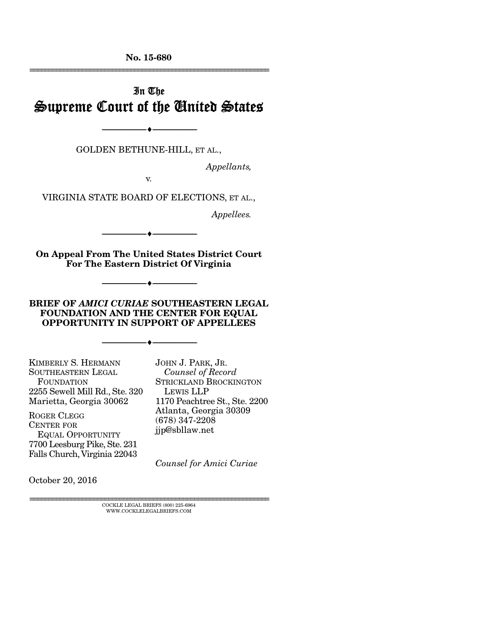No. 15-680 ================================================================

# In The Supreme Court of the United States

GOLDEN BETHUNE-HILL, ET AL.,

--------------------------------- ---------------------------------

*Appellants,* 

v.

VIRGINIA STATE BOARD OF ELECTIONS, ET AL.,

*Appellees.* 

On Appeal From The United States District Court

--------------------------------- ---------------------------------

For The Eastern District Of Virginia

BRIEF OF *AMICI CURIAE* SOUTHEASTERN LEGAL FOUNDATION AND THE CENTER FOR EQUAL OPPORTUNITY IN SUPPORT OF APPELLEES

--------------------------------- ---------------------------------

--------------------------------- ---------------------------------

KIMBERLY S. HERMANN SOUTHEASTERN LEGAL FOUNDATION 2255 Sewell Mill Rd., Ste. 320 Marietta, Georgia 30062

ROGER CLEGG CENTER FOR EQUAL OPPORTUNITY 7700 Leesburg Pike, Ste. 231 Falls Church, Virginia 22043 JOHN J. PARK, JR. *Counsel of Record*  STRICKLAND BROCKINGTON LEWIS LLP 1170 Peachtree St., Ste. 2200 Atlanta, Georgia 30309 (678) 347-2208 jjp@sbllaw.net

*Counsel for Amici Curiae*

October 20, 2016

 ${\rm COCKLE}$ LEGAL BRIEFS (800) 225-6964 WWW.COCKLELEGALBRIEFS.COM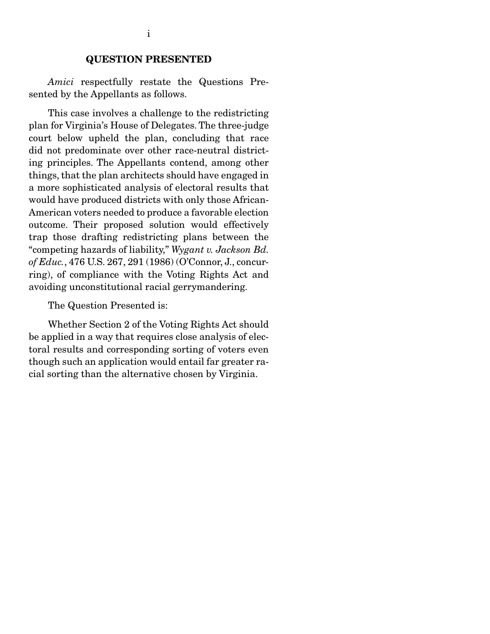#### QUESTION PRESENTED

*Amici* respectfully restate the Questions Presented by the Appellants as follows.

 This case involves a challenge to the redistricting plan for Virginia's House of Delegates. The three-judge court below upheld the plan, concluding that race did not predominate over other race-neutral districting principles. The Appellants contend, among other things, that the plan architects should have engaged in a more sophisticated analysis of electoral results that would have produced districts with only those African-American voters needed to produce a favorable election outcome. Their proposed solution would effectively trap those drafting redistricting plans between the "competing hazards of liability," *Wygant v. Jackson Bd. of Educ.*, 476 U.S. 267, 291 (1986) (O'Connor, J., concurring), of compliance with the Voting Rights Act and avoiding unconstitutional racial gerrymandering.

The Question Presented is:

 Whether Section 2 of the Voting Rights Act should be applied in a way that requires close analysis of electoral results and corresponding sorting of voters even though such an application would entail far greater racial sorting than the alternative chosen by Virginia.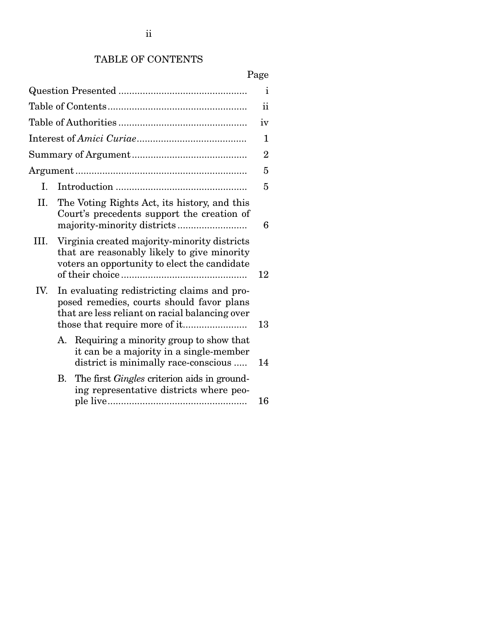# TABLE OF CONTENTS

# Page

| i             |                                                                                                                                            |                                                                                                                                                   |                |  |
|---------------|--------------------------------------------------------------------------------------------------------------------------------------------|---------------------------------------------------------------------------------------------------------------------------------------------------|----------------|--|
| $\mathbf{ii}$ |                                                                                                                                            |                                                                                                                                                   |                |  |
| iv            |                                                                                                                                            |                                                                                                                                                   |                |  |
|               |                                                                                                                                            |                                                                                                                                                   | 1              |  |
|               |                                                                                                                                            |                                                                                                                                                   | $\overline{2}$ |  |
|               |                                                                                                                                            |                                                                                                                                                   | 5              |  |
| L.            |                                                                                                                                            |                                                                                                                                                   | 5              |  |
| П.            |                                                                                                                                            | The Voting Rights Act, its history, and this<br>Court's precedents support the creation of                                                        | 6              |  |
| III.          |                                                                                                                                            | Virginia created majority-minority districts<br>that are reasonably likely to give minority<br>voters an opportunity to elect the candidate<br>12 |                |  |
| IV.           | In evaluating redistricting claims and pro-<br>posed remedies, courts should favor plans<br>that are less reliant on racial balancing over |                                                                                                                                                   | 13             |  |
|               | А.                                                                                                                                         | Requiring a minority group to show that<br>it can be a majority in a single-member<br>district is minimally race-conscious                        | 14             |  |
|               |                                                                                                                                            | B. The first <i>Gingles</i> criterion aids in ground-<br>ing representative districts where peo-                                                  | 16             |  |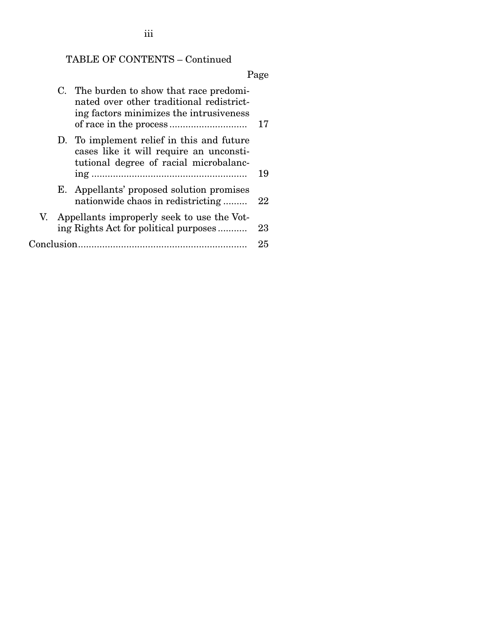TABLE OF CONTENTS – Continued

# Page

|  |  | C. The burden to show that race predomi-<br>nated over other traditional redistrict-<br>ing factors minimizes the intrusiveness | 17 |
|--|--|---------------------------------------------------------------------------------------------------------------------------------|----|
|  |  | D. To implement relief in this and future<br>cases like it will require an unconsti-<br>tutional degree of racial microbalanc-  | 19 |
|  |  | E. Appellants' proposed solution promises<br>nationwide chaos in redistricting                                                  | 22 |
|  |  | V. Appellants improperly seek to use the Vot-<br>ing Rights Act for political purposes                                          | 23 |
|  |  |                                                                                                                                 | 25 |

iii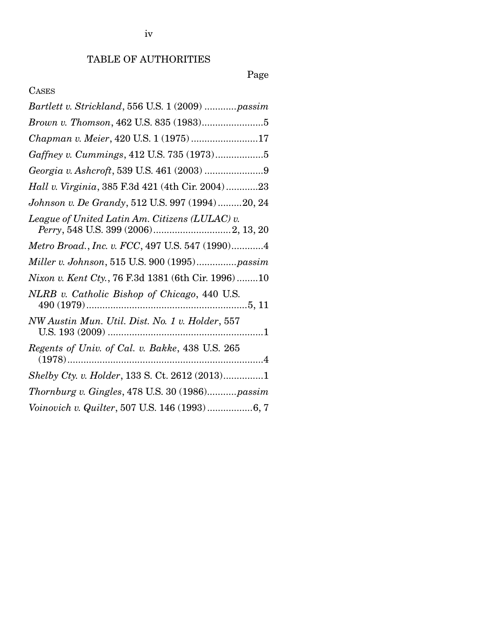# Page

## CASES

| Bartlett v. Strickland, 556 U.S. 1 (2009) passim    |
|-----------------------------------------------------|
|                                                     |
| Chapman v. Meier, 420 U.S. 1 (1975)17               |
| Gaffney v. Cummings, 412 U.S. 735 (1973)5           |
|                                                     |
| Hall v. Virginia, 385 F.3d 421 (4th Cir. 2004)23    |
| Johnson v. De Grandy, 512 U.S. 997 (1994)20, 24     |
| League of United Latin Am. Citizens (LULAC) v.      |
| Metro Broad., Inc. v. FCC, 497 U.S. 547 (1990)4     |
| Miller v. Johnson, 515 U.S. 900 (1995)passim        |
| Nixon v. Kent Cty., 76 F.3d 1381 (6th Cir. 1996) 10 |
| NLRB v. Catholic Bishop of Chicago, 440 U.S.        |
| NW Austin Mun. Util. Dist. No. 1 v. Holder, 557     |
| Regents of Univ. of Cal. v. Bakke, 438 U.S. 265     |
| Shelby Cty. v. Holder, 133 S. Ct. 2612 (2013)1      |
| Thornburg v. Gingles, 478 U.S. 30 (1986)passim      |
| Voinovich v. Quilter, 507 U.S. 146 (1993)6, 7       |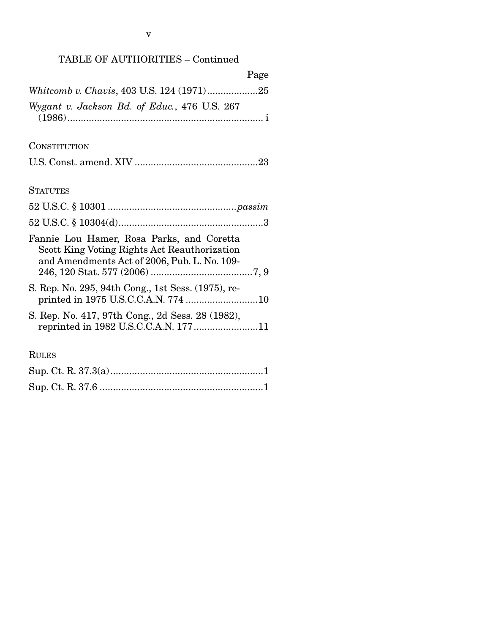## TABLE OF AUTHORITIES – Continued

| Page                                                                                                                                      |
|-------------------------------------------------------------------------------------------------------------------------------------------|
| Whitcomb v. Chavis, 403 U.S. 124 (1971)25                                                                                                 |
| Wygant v. Jackson Bd. of Educ., 476 U.S. 267                                                                                              |
| CONSTITUTION                                                                                                                              |
|                                                                                                                                           |
| <b>STATUTES</b>                                                                                                                           |
|                                                                                                                                           |
|                                                                                                                                           |
| Fannie Lou Hamer, Rosa Parks, and Coretta<br>Scott King Voting Rights Act Reauthorization<br>and Amendments Act of 2006, Pub. L. No. 109- |
| S. Rep. No. 295, 94th Cong., 1st Sess. (1975), re-<br>printed in 1975 U.S.C.C.A.N. 774 10                                                 |
| S. Rep. No. 417, 97th Cong., 2d Sess. 28 (1982),                                                                                          |
| <b>RULES</b>                                                                                                                              |
|                                                                                                                                           |

Sup. Ct. R. 37.6 ............................................................. 1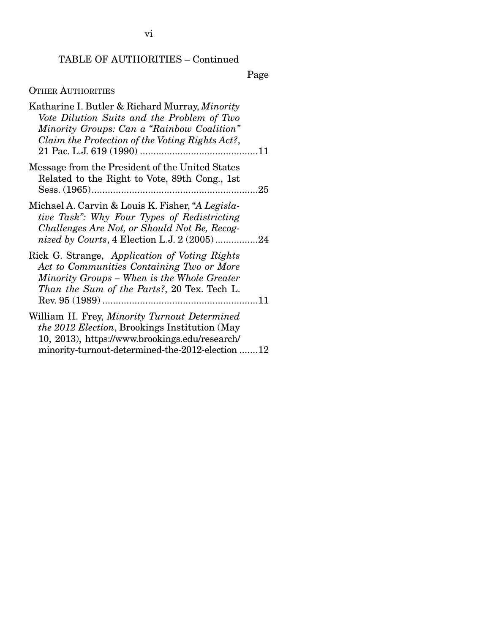## TABLE OF AUTHORITIES – Continued

Page

# OTHER AUTHORITIES

| Katharine I. Butler & Richard Murray, Minority<br>Vote Dilution Suits and the Problem of Two<br>Minority Groups: Can a "Rainbow Coalition"<br>Claim the Protection of the Voting Rights Act?,               |
|-------------------------------------------------------------------------------------------------------------------------------------------------------------------------------------------------------------|
| Message from the President of the United States<br>Related to the Right to Vote, 89th Cong., 1st                                                                                                            |
| Michael A. Carvin & Louis K. Fisher, "A Legisla-<br>tive Task": Why Four Types of Redistricting<br>Challenges Are Not, or Should Not Be, Recog-<br>nized by Courts, 4 Election L.J. 2 (2005)24              |
| Rick G. Strange, Application of Voting Rights<br>Act to Communities Containing Two or More<br>Minority Groups - When is the Whole Greater<br>Than the Sum of the Parts?, 20 Tex. Tech L.                    |
| William H. Frey, Minority Turnout Determined<br><i>the 2012 Election</i> , Brookings Institution (May<br>10, 2013), https://www.brookings.edu/research/<br>minority-turnout-determined-the-2012-election 12 |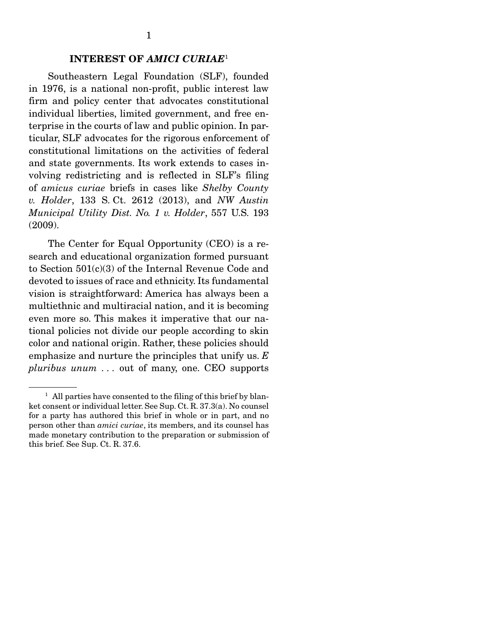### INTEREST OF *AMICI CURIAE*<sup>1</sup>

Southeastern Legal Foundation (SLF), founded in 1976, is a national non-profit, public interest law firm and policy center that advocates constitutional individual liberties, limited government, and free enterprise in the courts of law and public opinion. In particular, SLF advocates for the rigorous enforcement of constitutional limitations on the activities of federal and state governments. Its work extends to cases involving redistricting and is reflected in SLF's filing of *amicus curiae* briefs in cases like *Shelby County v. Holder*, 133 S. Ct. 2612 (2013), and *NW Austin Municipal Utility Dist. No. 1 v. Holder*, 557 U.S. 193 (2009).

 The Center for Equal Opportunity (CEO) is a research and educational organization formed pursuant to Section 501(c)(3) of the Internal Revenue Code and devoted to issues of race and ethnicity. Its fundamental vision is straightforward: America has always been a multiethnic and multiracial nation, and it is becoming even more so. This makes it imperative that our national policies not divide our people according to skin color and national origin. Rather, these policies should emphasize and nurture the principles that unify us. *E pluribus unum . . .* out of many, one. CEO supports

<sup>&</sup>lt;sup>1</sup> All parties have consented to the filing of this brief by blanket consent or individual letter. See Sup. Ct. R. 37.3(a). No counsel for a party has authored this brief in whole or in part, and no person other than *amici curiae*, its members, and its counsel has made monetary contribution to the preparation or submission of this brief. See Sup. Ct. R. 37.6.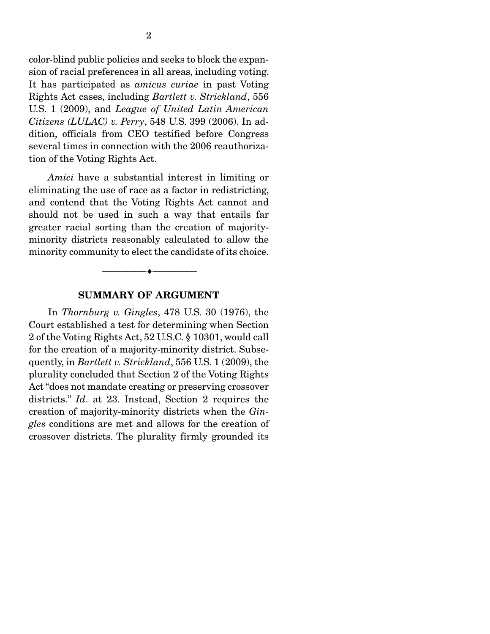color-blind public policies and seeks to block the expansion of racial preferences in all areas, including voting. It has participated as *amicus curiae* in past Voting Rights Act cases, including *Bartlett v. Strickland*, 556 U.S. 1 (2009), and *League of United Latin American Citizens (LULAC) v. Perry*, 548 U.S. 399 (2006). In addition, officials from CEO testified before Congress several times in connection with the 2006 reauthorization of the Voting Rights Act.

*Amici* have a substantial interest in limiting or eliminating the use of race as a factor in redistricting, and contend that the Voting Rights Act cannot and should not be used in such a way that entails far greater racial sorting than the creation of majorityminority districts reasonably calculated to allow the minority community to elect the candidate of its choice.

#### SUMMARY OF ARGUMENT

--------------------------------- ---------------------------------

 In *Thornburg v. Gingles*, 478 U.S. 30 (1976), the Court established a test for determining when Section 2 of the Voting Rights Act, 52 U.S.C. § 10301, would call for the creation of a majority-minority district. Subsequently, in *Bartlett v. Strickland*, 556 U.S. 1 (2009), the plurality concluded that Section 2 of the Voting Rights Act "does not mandate creating or preserving crossover districts." *Id*. at 23. Instead, Section 2 requires the creation of majority-minority districts when the *Gingles* conditions are met and allows for the creation of crossover districts. The plurality firmly grounded its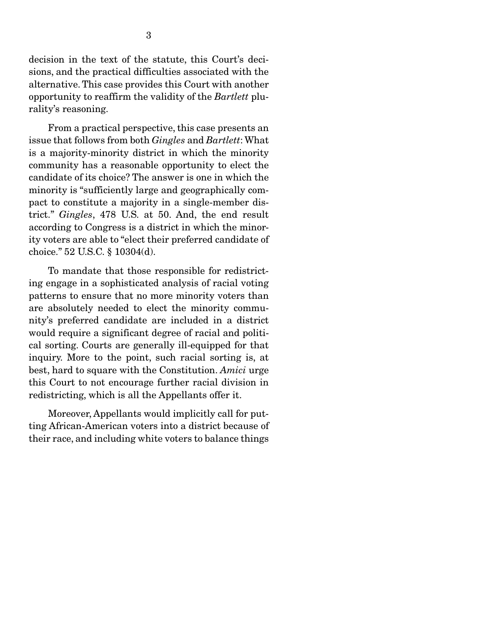decision in the text of the statute, this Court's decisions, and the practical difficulties associated with the alternative. This case provides this Court with another opportunity to reaffirm the validity of the *Bartlett* plurality's reasoning.

 From a practical perspective, this case presents an issue that follows from both *Gingles* and *Bartlett*: What is a majority-minority district in which the minority community has a reasonable opportunity to elect the candidate of its choice? The answer is one in which the minority is "sufficiently large and geographically compact to constitute a majority in a single-member district." *Gingles*, 478 U.S. at 50. And, the end result according to Congress is a district in which the minority voters are able to "elect their preferred candidate of choice." 52 U.S.C. § 10304(d).

 To mandate that those responsible for redistricting engage in a sophisticated analysis of racial voting patterns to ensure that no more minority voters than are absolutely needed to elect the minority community's preferred candidate are included in a district would require a significant degree of racial and political sorting. Courts are generally ill-equipped for that inquiry. More to the point, such racial sorting is, at best, hard to square with the Constitution. *Amici* urge this Court to not encourage further racial division in redistricting, which is all the Appellants offer it.

 Moreover, Appellants would implicitly call for putting African-American voters into a district because of their race, and including white voters to balance things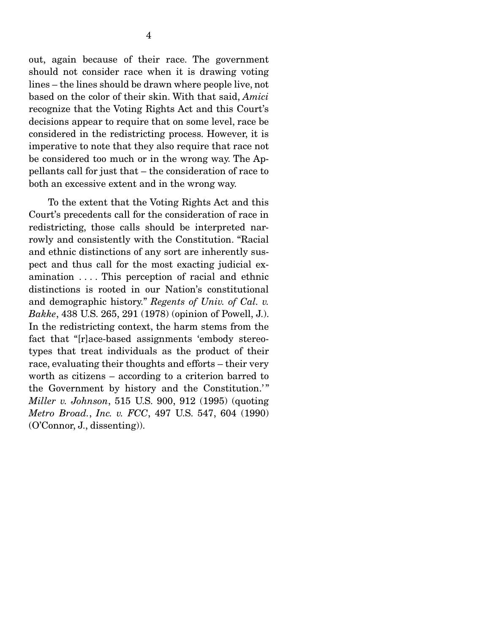out, again because of their race. The government should not consider race when it is drawing voting lines – the lines should be drawn where people live, not based on the color of their skin. With that said, *Amici* recognize that the Voting Rights Act and this Court's decisions appear to require that on some level, race be considered in the redistricting process. However, it is imperative to note that they also require that race not be considered too much or in the wrong way. The Appellants call for just that – the consideration of race to both an excessive extent and in the wrong way.

 To the extent that the Voting Rights Act and this Court's precedents call for the consideration of race in redistricting, those calls should be interpreted narrowly and consistently with the Constitution. "Racial and ethnic distinctions of any sort are inherently suspect and thus call for the most exacting judicial examination . . . . This perception of racial and ethnic distinctions is rooted in our Nation's constitutional and demographic history." *Regents of Univ. of Cal. v. Bakke*, 438 U.S. 265, 291 (1978) (opinion of Powell, J.). In the redistricting context, the harm stems from the fact that "[r]ace-based assignments 'embody stereotypes that treat individuals as the product of their race, evaluating their thoughts and efforts – their very worth as citizens – according to a criterion barred to the Government by history and the Constitution.'" *Miller v. Johnson*, 515 U.S. 900, 912 (1995) (quoting *Metro Broad.*, *Inc. v. FCC*, 497 U.S. 547, 604 (1990) (O'Connor, J., dissenting)).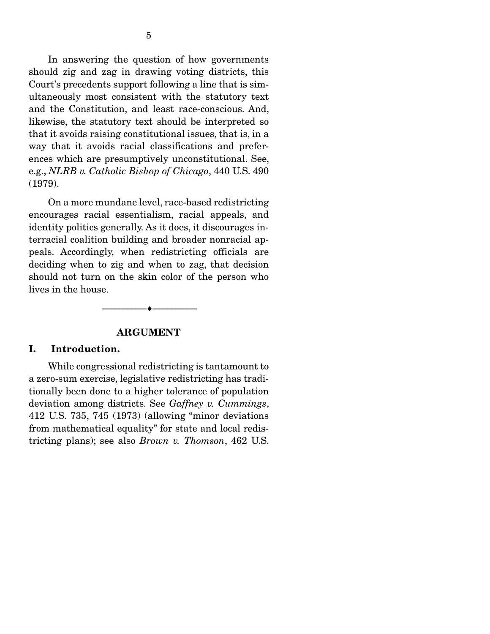In answering the question of how governments should zig and zag in drawing voting districts, this Court's precedents support following a line that is simultaneously most consistent with the statutory text and the Constitution, and least race-conscious. And, likewise, the statutory text should be interpreted so that it avoids raising constitutional issues, that is, in a way that it avoids racial classifications and preferences which are presumptively unconstitutional. See, e.g., *NLRB v. Catholic Bishop of Chicago*, 440 U.S. 490 (1979).

On a more mundane level, race-based redistricting encourages racial essentialism, racial appeals, and identity politics generally. As it does, it discourages interracial coalition building and broader nonracial appeals. Accordingly, when redistricting officials are deciding when to zig and when to zag, that decision should not turn on the skin color of the person who lives in the house.

--------------------------------- ---------------------------------

#### ARGUMENT

#### I. Introduction.

While congressional redistricting is tantamount to a zero-sum exercise, legislative redistricting has traditionally been done to a higher tolerance of population deviation among districts. See *Gaffney v. Cummings*, 412 U.S. 735, 745 (1973) (allowing "minor deviations from mathematical equality" for state and local redistricting plans); see also *Brown v. Thomson*, 462 U.S.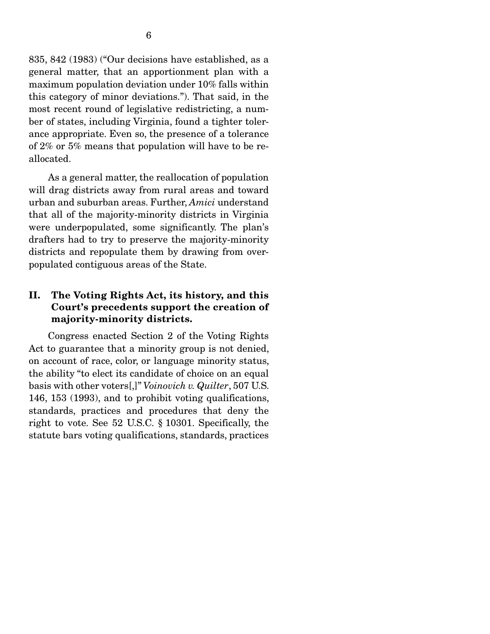835, 842 (1983) ("Our decisions have established, as a general matter, that an apportionment plan with a maximum population deviation under 10% falls within this category of minor deviations."). That said, in the most recent round of legislative redistricting, a number of states, including Virginia, found a tighter tolerance appropriate. Even so, the presence of a tolerance of 2% or 5% means that population will have to be reallocated.

 As a general matter, the reallocation of population will drag districts away from rural areas and toward urban and suburban areas. Further, *Amici* understand that all of the majority-minority districts in Virginia were underpopulated, some significantly. The plan's drafters had to try to preserve the majority-minority districts and repopulate them by drawing from overpopulated contiguous areas of the State.

## II. The Voting Rights Act, its history, and this Court's precedents support the creation of majority-minority districts.

 Congress enacted Section 2 of the Voting Rights Act to guarantee that a minority group is not denied, on account of race, color, or language minority status, the ability "to elect its candidate of choice on an equal basis with other voters[,]" *Voinovich v. Quilter*, 507 U.S. 146, 153 (1993), and to prohibit voting qualifications, standards, practices and procedures that deny the right to vote. See 52 U.S.C. § 10301. Specifically, the statute bars voting qualifications, standards, practices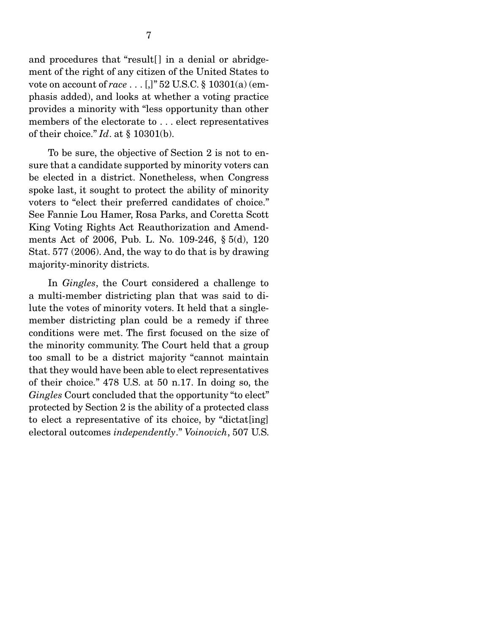and procedures that "result[] in a denial or abridgement of the right of any citizen of the United States to vote on account of *race* . . . [,]" 52 U.S.C. § 10301(a) (emphasis added), and looks at whether a voting practice provides a minority with "less opportunity than other members of the electorate to . . . elect representatives of their choice." *Id*. at § 10301(b).

 To be sure, the objective of Section 2 is not to ensure that a candidate supported by minority voters can be elected in a district. Nonetheless, when Congress spoke last, it sought to protect the ability of minority voters to "elect their preferred candidates of choice." See Fannie Lou Hamer, Rosa Parks, and Coretta Scott King Voting Rights Act Reauthorization and Amendments Act of 2006, Pub. L. No. 109-246, § 5(d), 120 Stat. 577 (2006). And, the way to do that is by drawing majority-minority districts.

 In *Gingles*, the Court considered a challenge to a multi-member districting plan that was said to dilute the votes of minority voters. It held that a singlemember districting plan could be a remedy if three conditions were met. The first focused on the size of the minority community. The Court held that a group too small to be a district majority "cannot maintain that they would have been able to elect representatives of their choice." 478 U.S. at 50 n.17. In doing so, the *Gingles* Court concluded that the opportunity "to elect" protected by Section 2 is the ability of a protected class to elect a representative of its choice, by "dictat[ing] electoral outcomes *independently*." *Voinovich*, 507 U.S.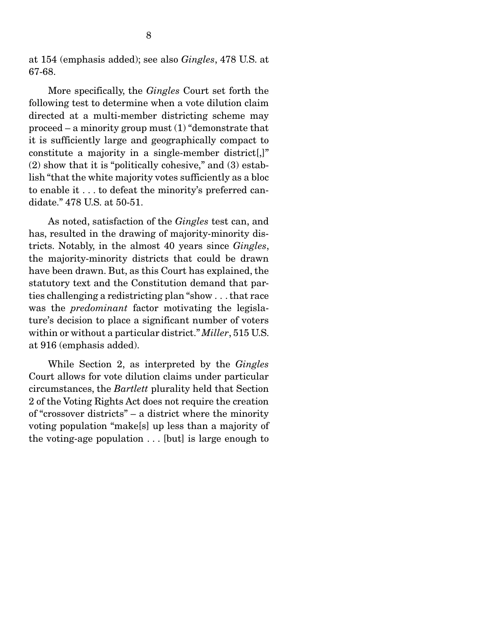at 154 (emphasis added); see also *Gingles*, 478 U.S. at 67-68.

 More specifically, the *Gingles* Court set forth the following test to determine when a vote dilution claim directed at a multi-member districting scheme may proceed – a minority group must  $(1)$  "demonstrate that it is sufficiently large and geographically compact to constitute a majority in a single-member district[,]" (2) show that it is "politically cohesive," and (3) establish "that the white majority votes sufficiently as a bloc to enable it . . . to defeat the minority's preferred candidate." 478 U.S. at 50-51.

 As noted, satisfaction of the *Gingles* test can, and has, resulted in the drawing of majority-minority districts. Notably, in the almost 40 years since *Gingles*, the majority-minority districts that could be drawn have been drawn. But, as this Court has explained, the statutory text and the Constitution demand that parties challenging a redistricting plan "show . . . that race was the *predominant* factor motivating the legislature's decision to place a significant number of voters within or without a particular district." *Miller*, 515 U.S. at 916 (emphasis added).

 While Section 2, as interpreted by the *Gingles* Court allows for vote dilution claims under particular circumstances, the *Bartlett* plurality held that Section 2 of the Voting Rights Act does not require the creation of "crossover districts" – a district where the minority voting population "make[s] up less than a majority of the voting-age population . . . [but] is large enough to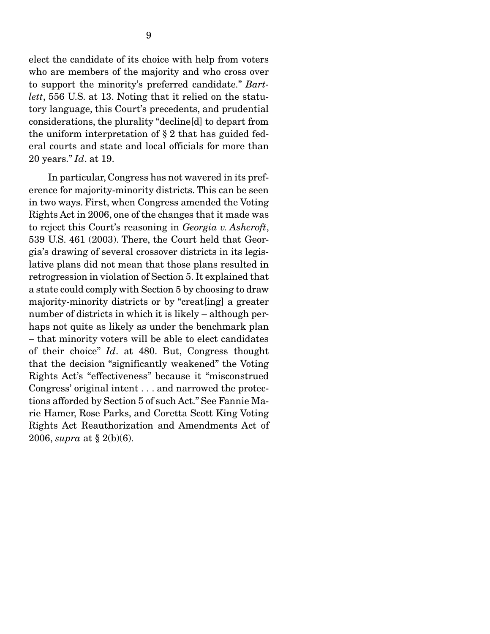elect the candidate of its choice with help from voters who are members of the majority and who cross over to support the minority's preferred candidate." *Bartlett*, 556 U.S. at 13. Noting that it relied on the statutory language, this Court's precedents, and prudential considerations, the plurality "decline[d] to depart from the uniform interpretation of § 2 that has guided federal courts and state and local officials for more than 20 years." *Id*. at 19.

 In particular, Congress has not wavered in its preference for majority-minority districts. This can be seen in two ways. First, when Congress amended the Voting Rights Act in 2006, one of the changes that it made was to reject this Court's reasoning in *Georgia v. Ashcroft*, 539 U.S. 461 (2003). There, the Court held that Georgia's drawing of several crossover districts in its legislative plans did not mean that those plans resulted in retrogression in violation of Section 5. It explained that a state could comply with Section 5 by choosing to draw majority-minority districts or by "creat[ing] a greater number of districts in which it is likely – although perhaps not quite as likely as under the benchmark plan – that minority voters will be able to elect candidates of their choice" *Id*. at 480. But, Congress thought that the decision "significantly weakened" the Voting Rights Act's "effectiveness" because it "misconstrued Congress' original intent . . . and narrowed the protections afforded by Section 5 of such Act." See Fannie Marie Hamer, Rose Parks, and Coretta Scott King Voting Rights Act Reauthorization and Amendments Act of 2006, *supra* at § 2(b)(6).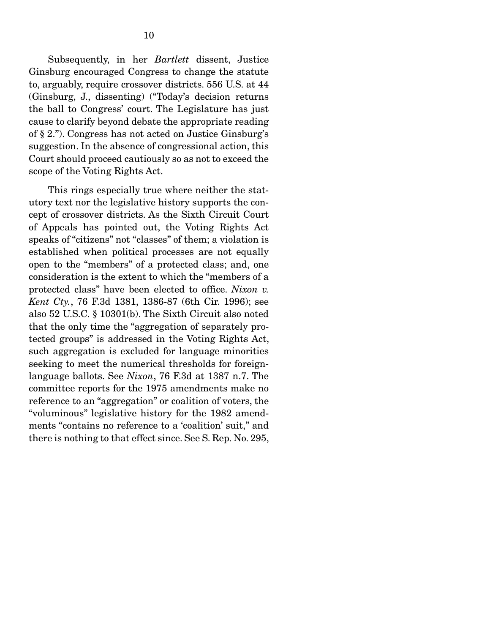Subsequently, in her *Bartlett* dissent, Justice Ginsburg encouraged Congress to change the statute to, arguably, require crossover districts. 556 U.S. at 44 (Ginsburg, J., dissenting) ("Today's decision returns the ball to Congress' court. The Legislature has just cause to clarify beyond debate the appropriate reading of § 2."). Congress has not acted on Justice Ginsburg's suggestion. In the absence of congressional action, this Court should proceed cautiously so as not to exceed the scope of the Voting Rights Act.

 This rings especially true where neither the statutory text nor the legislative history supports the concept of crossover districts. As the Sixth Circuit Court of Appeals has pointed out, the Voting Rights Act speaks of "citizens" not "classes" of them; a violation is established when political processes are not equally open to the "members" of a protected class; and, one consideration is the extent to which the "members of a protected class" have been elected to office. *Nixon v. Kent Cty.*, 76 F.3d 1381, 1386-87 (6th Cir. 1996); see also 52 U.S.C. § 10301(b). The Sixth Circuit also noted that the only time the "aggregation of separately protected groups" is addressed in the Voting Rights Act, such aggregation is excluded for language minorities seeking to meet the numerical thresholds for foreignlanguage ballots. See *Nixon*, 76 F.3d at 1387 n.7. The committee reports for the 1975 amendments make no reference to an "aggregation" or coalition of voters, the "voluminous" legislative history for the 1982 amendments "contains no reference to a 'coalition' suit," and there is nothing to that effect since. See S. Rep. No. 295,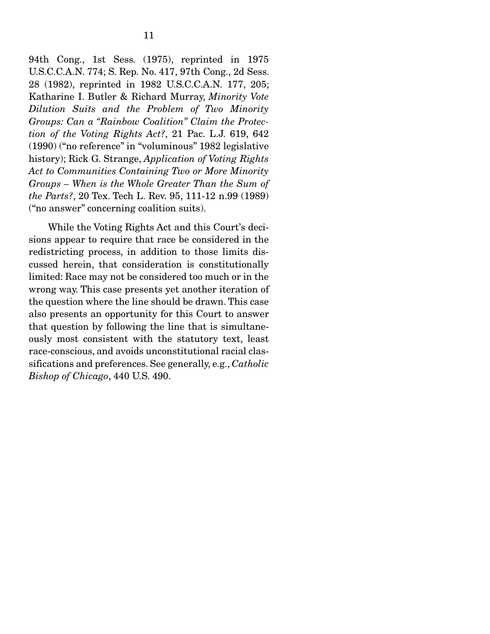94th Cong., 1st Sess. (1975), reprinted in 1975 U.S.C.C.A.N. 774; S. Rep. No. 417, 97th Cong., 2d Sess. 28 (1982), reprinted in 1982 U.S.C.C.A.N. 177, 205; Katharine I. Butler & Richard Murray, *Minority Vote Dilution Suits and the Problem of Two Minority Groups: Can a "Rainbow Coalition" Claim the Protection of the Voting Rights Act?*, 21 Pac. L.J. 619, 642 (1990) ("no reference" in "voluminous" 1982 legislative history); Rick G. Strange, *Application of Voting Rights Act to Communities Containing Two or More Minority Groups – When is the Whole Greater Than the Sum of the Parts?*, 20 Tex. Tech L. Rev. 95, 111-12 n.99 (1989) ("no answer" concerning coalition suits).

 While the Voting Rights Act and this Court's decisions appear to require that race be considered in the redistricting process, in addition to those limits discussed herein, that consideration is constitutionally limited: Race may not be considered too much or in the wrong way. This case presents yet another iteration of the question where the line should be drawn. This case also presents an opportunity for this Court to answer that question by following the line that is simultaneously most consistent with the statutory text, least race-conscious, and avoids unconstitutional racial classifications and preferences. See generally, e.g., *Catholic Bishop of Chicago*, 440 U.S. 490.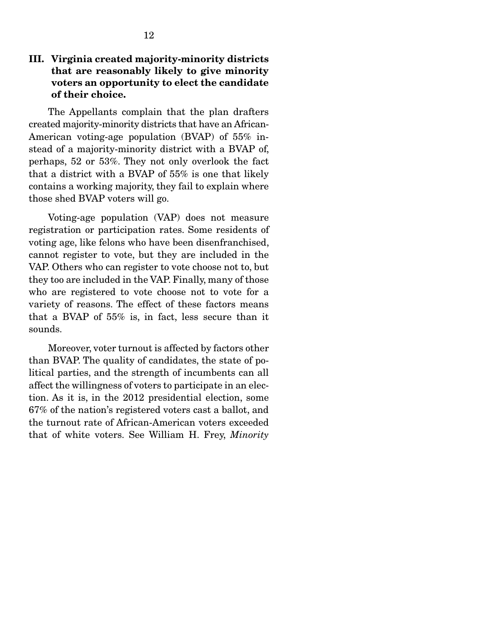## III. Virginia created majority-minority districts that are reasonably likely to give minority voters an opportunity to elect the candidate of their choice.

 The Appellants complain that the plan drafters created majority-minority districts that have an African-American voting-age population (BVAP) of 55% instead of a majority-minority district with a BVAP of, perhaps, 52 or 53%. They not only overlook the fact that a district with a BVAP of 55% is one that likely contains a working majority, they fail to explain where those shed BVAP voters will go.

 Voting-age population (VAP) does not measure registration or participation rates. Some residents of voting age, like felons who have been disenfranchised, cannot register to vote, but they are included in the VAP. Others who can register to vote choose not to, but they too are included in the VAP. Finally, many of those who are registered to vote choose not to vote for a variety of reasons. The effect of these factors means that a BVAP of 55% is, in fact, less secure than it sounds.

 Moreover, voter turnout is affected by factors other than BVAP. The quality of candidates, the state of political parties, and the strength of incumbents can all affect the willingness of voters to participate in an election. As it is, in the 2012 presidential election, some 67% of the nation's registered voters cast a ballot, and the turnout rate of African-American voters exceeded that of white voters. See William H. Frey, *Minority*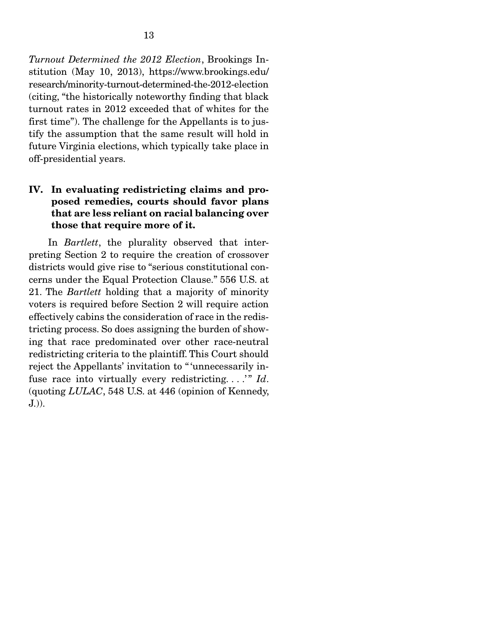*Turnout Determined the 2012 Election*, Brookings Institution (May 10, 2013), https://www.brookings.edu/ research/minority-turnout-determined-the-2012-election (citing, "the historically noteworthy finding that black turnout rates in 2012 exceeded that of whites for the first time"). The challenge for the Appellants is to justify the assumption that the same result will hold in future Virginia elections, which typically take place in off-presidential years.

## IV. In evaluating redistricting claims and proposed remedies, courts should favor plans that are less reliant on racial balancing over those that require more of it.

 In *Bartlett*, the plurality observed that interpreting Section 2 to require the creation of crossover districts would give rise to "serious constitutional concerns under the Equal Protection Clause." 556 U.S. at 21. The *Bartlett* holding that a majority of minority voters is required before Section 2 will require action effectively cabins the consideration of race in the redistricting process. So does assigning the burden of showing that race predominated over other race-neutral redistricting criteria to the plaintiff. This Court should reject the Appellants' invitation to " 'unnecessarily infuse race into virtually every redistricting....'" *Id*. (quoting *LULAC*, 548 U.S. at 446 (opinion of Kennedy, J.)).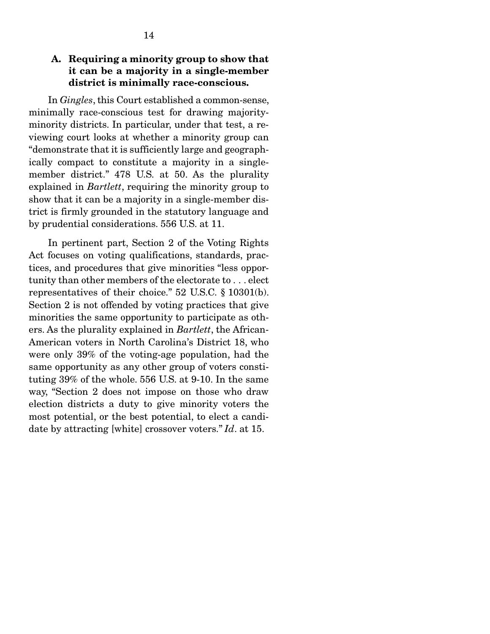## A. Requiring a minority group to show that it can be a majority in a single-member district is minimally race-conscious.

 In *Gingles*, this Court established a common-sense, minimally race-conscious test for drawing majorityminority districts. In particular, under that test, a reviewing court looks at whether a minority group can "demonstrate that it is sufficiently large and geographically compact to constitute a majority in a singlemember district." 478 U.S. at 50. As the plurality explained in *Bartlett*, requiring the minority group to show that it can be a majority in a single-member district is firmly grounded in the statutory language and by prudential considerations. 556 U.S. at 11.

 In pertinent part, Section 2 of the Voting Rights Act focuses on voting qualifications, standards, practices, and procedures that give minorities "less opportunity than other members of the electorate to . . . elect representatives of their choice." 52 U.S.C. § 10301(b). Section 2 is not offended by voting practices that give minorities the same opportunity to participate as others. As the plurality explained in *Bartlett*, the African-American voters in North Carolina's District 18, who were only 39% of the voting-age population, had the same opportunity as any other group of voters constituting 39% of the whole. 556 U.S. at 9-10. In the same way, "Section 2 does not impose on those who draw election districts a duty to give minority voters the most potential, or the best potential, to elect a candidate by attracting [white] crossover voters." *Id*. at 15.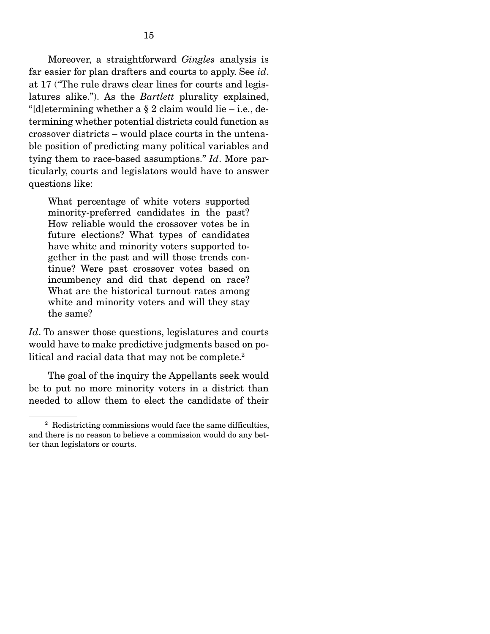Moreover, a straightforward *Gingles* analysis is far easier for plan drafters and courts to apply. See *id*. at 17 ("The rule draws clear lines for courts and legislatures alike."). As the *Bartlett* plurality explained, "[d]etermining whether a  $\S 2$  claim would lie – i.e., determining whether potential districts could function as crossover districts – would place courts in the untenable position of predicting many political variables and tying them to race-based assumptions." *Id*. More particularly, courts and legislators would have to answer questions like:

What percentage of white voters supported minority-preferred candidates in the past? How reliable would the crossover votes be in future elections? What types of candidates have white and minority voters supported together in the past and will those trends continue? Were past crossover votes based on incumbency and did that depend on race? What are the historical turnout rates among white and minority voters and will they stay the same?

*Id*. To answer those questions, legislatures and courts would have to make predictive judgments based on political and racial data that may not be complete.<sup>2</sup>

 The goal of the inquiry the Appellants seek would be to put no more minority voters in a district than needed to allow them to elect the candidate of their

<sup>&</sup>lt;sup>2</sup> Redistricting commissions would face the same difficulties, and there is no reason to believe a commission would do any better than legislators or courts.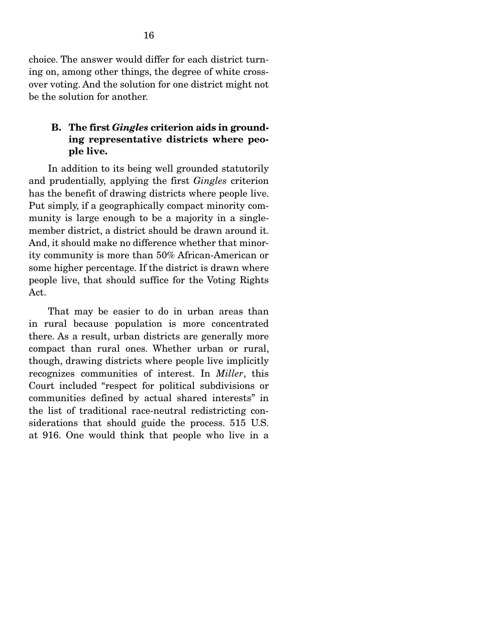choice. The answer would differ for each district turning on, among other things, the degree of white crossover voting. And the solution for one district might not be the solution for another.

## B. The first *Gingles* criterion aids in grounding representative districts where people live.

In addition to its being well grounded statutorily and prudentially, applying the first *Gingles* criterion has the benefit of drawing districts where people live. Put simply, if a geographically compact minority community is large enough to be a majority in a singlemember district, a district should be drawn around it. And, it should make no difference whether that minority community is more than 50% African-American or some higher percentage. If the district is drawn where people live, that should suffice for the Voting Rights Act.

 That may be easier to do in urban areas than in rural because population is more concentrated there. As a result, urban districts are generally more compact than rural ones. Whether urban or rural, though, drawing districts where people live implicitly recognizes communities of interest. In *Miller*, this Court included "respect for political subdivisions or communities defined by actual shared interests" in the list of traditional race-neutral redistricting considerations that should guide the process. 515 U.S. at 916. One would think that people who live in a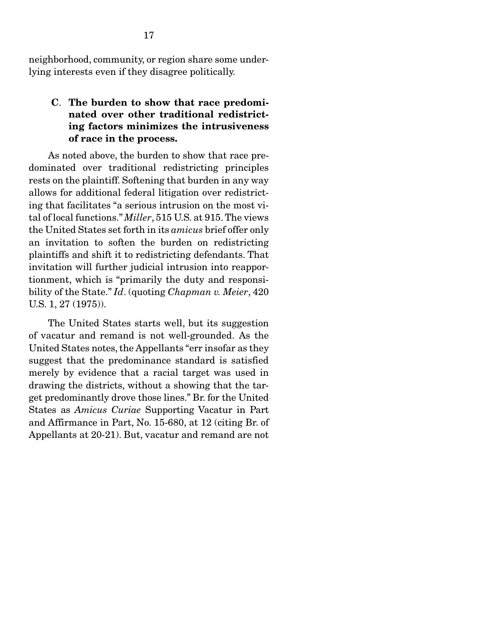neighborhood, community, or region share some underlying interests even if they disagree politically.

## C. The burden to show that race predominated over other traditional redistricting factors minimizes the intrusiveness of race in the process.

As noted above, the burden to show that race predominated over traditional redistricting principles rests on the plaintiff. Softening that burden in any way allows for additional federal litigation over redistricting that facilitates "a serious intrusion on the most vital of local functions." *Miller*, 515 U.S. at 915. The views the United States set forth in its *amicus* brief offer only an invitation to soften the burden on redistricting plaintiffs and shift it to redistricting defendants. That invitation will further judicial intrusion into reapportionment, which is "primarily the duty and responsibility of the State." *Id*. (quoting *Chapman v. Meier*, 420 U.S. 1, 27 (1975)).

The United States starts well, but its suggestion of vacatur and remand is not well-grounded. As the United States notes, the Appellants "err insofar as they suggest that the predominance standard is satisfied merely by evidence that a racial target was used in drawing the districts, without a showing that the target predominantly drove those lines." Br. for the United States as *Amicus Curiae* Supporting Vacatur in Part and Affirmance in Part, No. 15-680, at 12 (citing Br. of Appellants at 20-21). But, vacatur and remand are not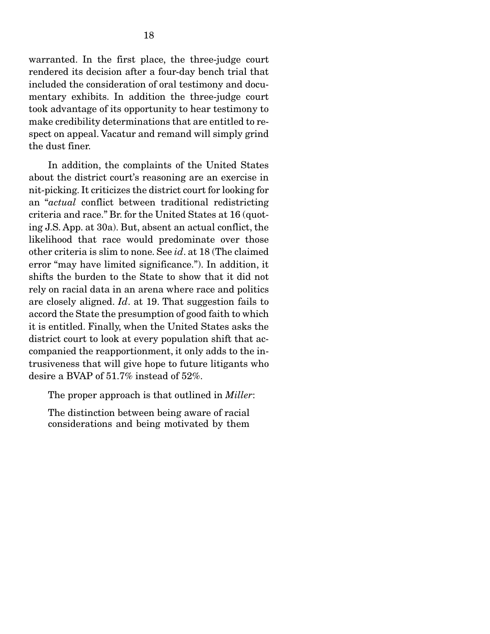warranted. In the first place, the three-judge court rendered its decision after a four-day bench trial that included the consideration of oral testimony and documentary exhibits. In addition the three-judge court took advantage of its opportunity to hear testimony to make credibility determinations that are entitled to respect on appeal. Vacatur and remand will simply grind the dust finer.

In addition, the complaints of the United States about the district court's reasoning are an exercise in nit-picking. It criticizes the district court for looking for an "*actual* conflict between traditional redistricting criteria and race." Br. for the United States at 16 (quoting J.S. App. at 30a). But, absent an actual conflict, the likelihood that race would predominate over those other criteria is slim to none. See *id*. at 18 (The claimed error "may have limited significance."). In addition, it shifts the burden to the State to show that it did not rely on racial data in an arena where race and politics are closely aligned. *Id*. at 19. That suggestion fails to accord the State the presumption of good faith to which it is entitled. Finally, when the United States asks the district court to look at every population shift that accompanied the reapportionment, it only adds to the intrusiveness that will give hope to future litigants who desire a BVAP of 51.7% instead of 52%.

The proper approach is that outlined in *Miller*:

The distinction between being aware of racial considerations and being motivated by them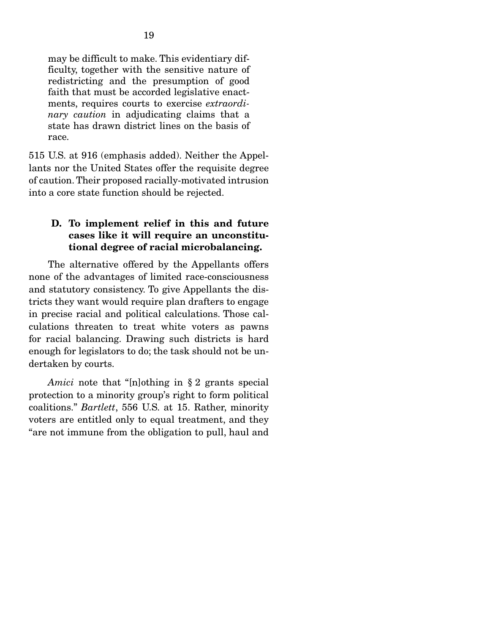may be difficult to make. This evidentiary difficulty, together with the sensitive nature of redistricting and the presumption of good faith that must be accorded legislative enactments, requires courts to exercise *extraordinary caution* in adjudicating claims that a state has drawn district lines on the basis of race.

515 U.S. at 916 (emphasis added). Neither the Appellants nor the United States offer the requisite degree of caution. Their proposed racially-motivated intrusion into a core state function should be rejected.

### D. To implement relief in this and future cases like it will require an unconstitutional degree of racial microbalancing.

 The alternative offered by the Appellants offers none of the advantages of limited race-consciousness and statutory consistency. To give Appellants the districts they want would require plan drafters to engage in precise racial and political calculations. Those calculations threaten to treat white voters as pawns for racial balancing. Drawing such districts is hard enough for legislators to do; the task should not be undertaken by courts.

*Amici* note that "[n]othing in § 2 grants special protection to a minority group's right to form political coalitions." *Bartlett*, 556 U.S. at 15. Rather, minority voters are entitled only to equal treatment, and they "are not immune from the obligation to pull, haul and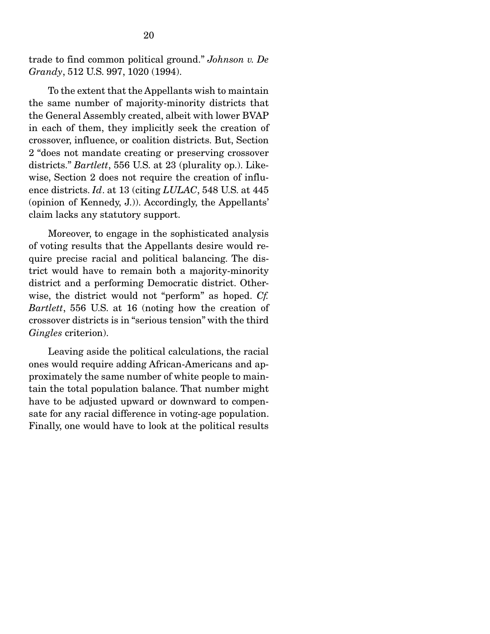trade to find common political ground." *Johnson v. De Grandy*, 512 U.S. 997, 1020 (1994).

 To the extent that the Appellants wish to maintain the same number of majority-minority districts that the General Assembly created, albeit with lower BVAP in each of them, they implicitly seek the creation of crossover, influence, or coalition districts. But, Section 2 "does not mandate creating or preserving crossover districts." *Bartlett*, 556 U.S. at 23 (plurality op.). Likewise, Section 2 does not require the creation of influence districts. *Id*. at 13 (citing *LULAC*, 548 U.S. at 445 (opinion of Kennedy, J.)). Accordingly, the Appellants' claim lacks any statutory support.

 Moreover, to engage in the sophisticated analysis of voting results that the Appellants desire would require precise racial and political balancing. The district would have to remain both a majority-minority district and a performing Democratic district. Otherwise, the district would not "perform" as hoped. *Cf. Bartlett*, 556 U.S. at 16 (noting how the creation of crossover districts is in "serious tension" with the third *Gingles* criterion).

 Leaving aside the political calculations, the racial ones would require adding African-Americans and approximately the same number of white people to maintain the total population balance. That number might have to be adjusted upward or downward to compensate for any racial difference in voting-age population. Finally, one would have to look at the political results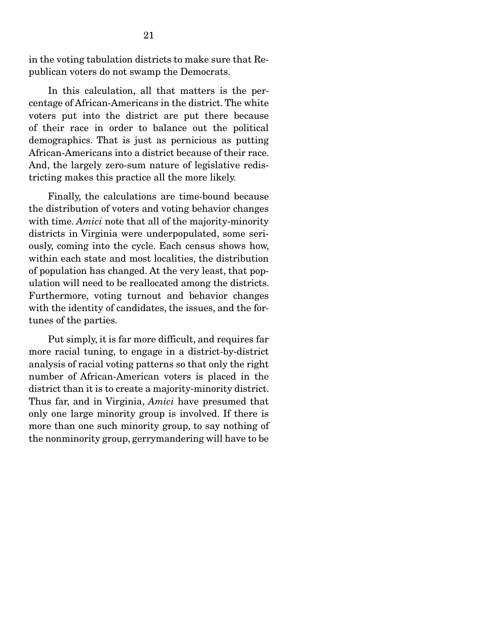in the voting tabulation districts to make sure that Republican voters do not swamp the Democrats.

 In this calculation, all that matters is the percentage of African-Americans in the district. The white voters put into the district are put there because of their race in order to balance out the political demographics. That is just as pernicious as putting African-Americans into a district because of their race. And, the largely zero-sum nature of legislative redistricting makes this practice all the more likely.

 Finally, the calculations are time-bound because the distribution of voters and voting behavior changes with time. *Amici* note that all of the majority-minority districts in Virginia were underpopulated, some seriously, coming into the cycle. Each census shows how, within each state and most localities, the distribution of population has changed. At the very least, that population will need to be reallocated among the districts. Furthermore, voting turnout and behavior changes with the identity of candidates, the issues, and the fortunes of the parties.

 Put simply, it is far more difficult, and requires far more racial tuning, to engage in a district-by-district analysis of racial voting patterns so that only the right number of African-American voters is placed in the district than it is to create a majority-minority district. Thus far, and in Virginia, *Amici* have presumed that only one large minority group is involved. If there is more than one such minority group, to say nothing of the nonminority group, gerrymandering will have to be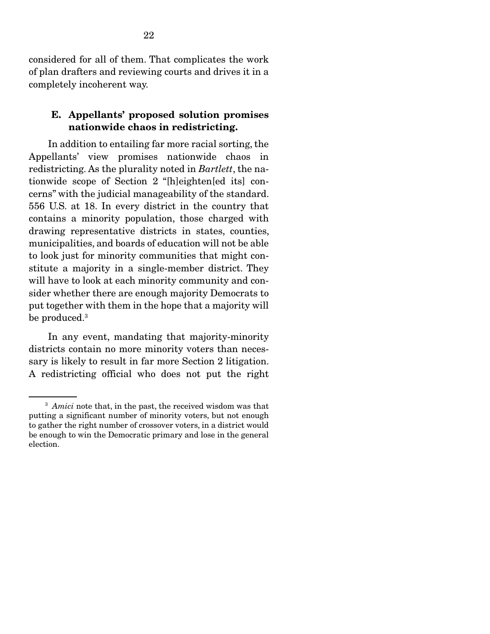considered for all of them. That complicates the work of plan drafters and reviewing courts and drives it in a completely incoherent way.

### E. Appellants' proposed solution promises nationwide chaos in redistricting.

 In addition to entailing far more racial sorting, the Appellants' view promises nationwide chaos in redistricting. As the plurality noted in *Bartlett*, the nationwide scope of Section 2 "[h]eighten[ed its] concerns" with the judicial manageability of the standard. 556 U.S. at 18. In every district in the country that contains a minority population, those charged with drawing representative districts in states, counties, municipalities, and boards of education will not be able to look just for minority communities that might constitute a majority in a single-member district. They will have to look at each minority community and consider whether there are enough majority Democrats to put together with them in the hope that a majority will be produced.3

 In any event, mandating that majority-minority districts contain no more minority voters than necessary is likely to result in far more Section 2 litigation. A redistricting official who does not put the right

<sup>&</sup>lt;sup>3</sup> *Amici* note that, in the past, the received wisdom was that putting a significant number of minority voters, but not enough to gather the right number of crossover voters, in a district would be enough to win the Democratic primary and lose in the general election.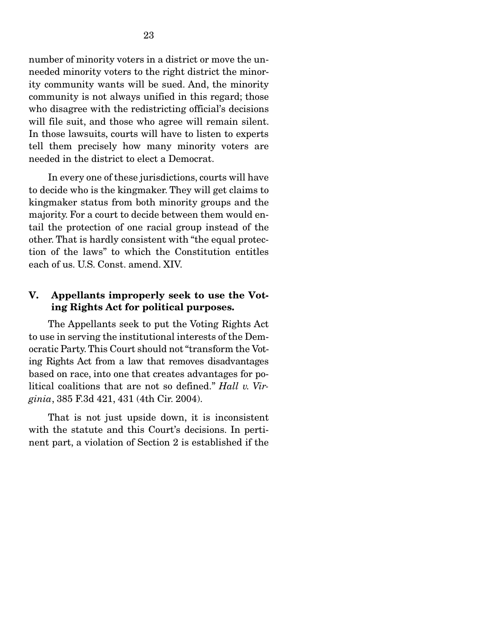number of minority voters in a district or move the unneeded minority voters to the right district the minority community wants will be sued. And, the minority community is not always unified in this regard; those who disagree with the redistricting official's decisions will file suit, and those who agree will remain silent. In those lawsuits, courts will have to listen to experts tell them precisely how many minority voters are needed in the district to elect a Democrat.

 In every one of these jurisdictions, courts will have to decide who is the kingmaker. They will get claims to kingmaker status from both minority groups and the majority. For a court to decide between them would entail the protection of one racial group instead of the other. That is hardly consistent with "the equal protection of the laws" to which the Constitution entitles each of us. U.S. Const. amend. XIV.

## V. Appellants improperly seek to use the Voting Rights Act for political purposes.

The Appellants seek to put the Voting Rights Act to use in serving the institutional interests of the Democratic Party. This Court should not "transform the Voting Rights Act from a law that removes disadvantages based on race, into one that creates advantages for political coalitions that are not so defined." *Hall v. Virginia*, 385 F.3d 421, 431 (4th Cir. 2004).

 That is not just upside down, it is inconsistent with the statute and this Court's decisions. In pertinent part, a violation of Section 2 is established if the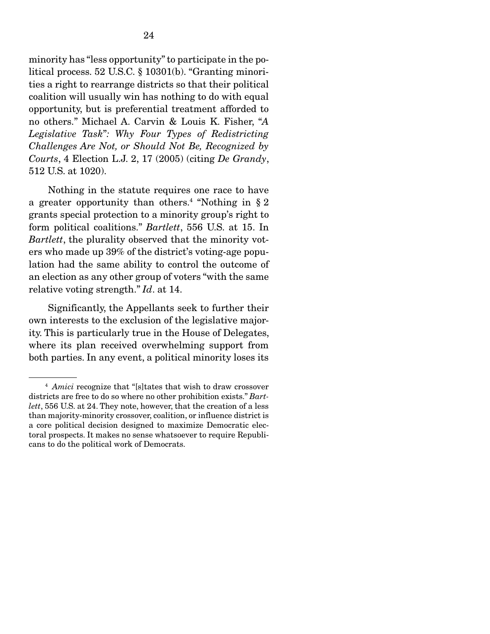24

litical process. 52 U.S.C. § 10301(b). "Granting minorities a right to rearrange districts so that their political coalition will usually win has nothing to do with equal opportunity, but is preferential treatment afforded to no others." Michael A. Carvin & Louis K. Fisher, "*A Legislative Task*"*: Why Four Types of Redistricting Challenges Are Not, or Should Not Be, Recognized by Courts*, 4 Election L.J. 2, 17 (2005) (citing *De Grandy*, 512 U.S. at 1020).

 Nothing in the statute requires one race to have a greater opportunity than others.<sup>4</sup> "Nothing in  $\S 2$ grants special protection to a minority group's right to form political coalitions." *Bartlett*, 556 U.S. at 15. In *Bartlett*, the plurality observed that the minority voters who made up 39% of the district's voting-age population had the same ability to control the outcome of an election as any other group of voters "with the same relative voting strength." *Id*. at 14.

 Significantly, the Appellants seek to further their own interests to the exclusion of the legislative majority. This is particularly true in the House of Delegates, where its plan received overwhelming support from both parties. In any event, a political minority loses its

<sup>4</sup> *Amici* recognize that "[s]tates that wish to draw crossover districts are free to do so where no other prohibition exists." *Bartlett*, 556 U.S. at 24. They note, however, that the creation of a less than majority-minority crossover, coalition, or influence district is a core political decision designed to maximize Democratic electoral prospects. It makes no sense whatsoever to require Republicans to do the political work of Democrats.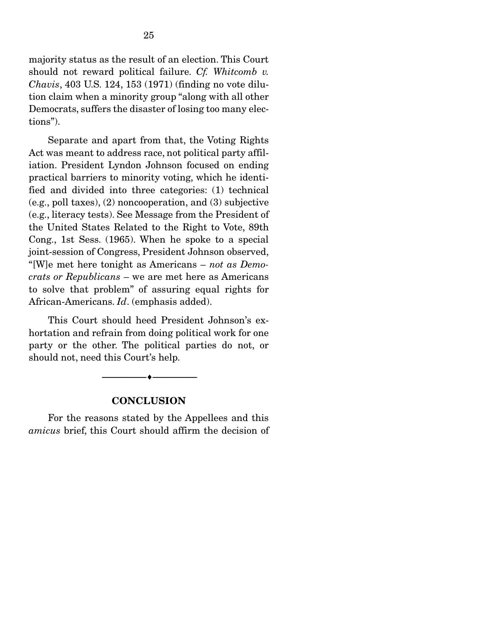majority status as the result of an election. This Court should not reward political failure. *Cf. Whitcomb v. Chavis*, 403 U.S. 124, 153 (1971) (finding no vote dilution claim when a minority group "along with all other Democrats, suffers the disaster of losing too many elections").

 Separate and apart from that, the Voting Rights Act was meant to address race, not political party affiliation. President Lyndon Johnson focused on ending practical barriers to minority voting, which he identified and divided into three categories: (1) technical (e.g., poll taxes), (2) noncooperation, and (3) subjective (e.g., literacy tests). See Message from the President of the United States Related to the Right to Vote, 89th Cong., 1st Sess. (1965). When he spoke to a special joint-session of Congress, President Johnson observed, "[W]e met here tonight as Americans – *not as Democrats or Republicans* – we are met here as Americans to solve that problem" of assuring equal rights for African-Americans. *Id*. (emphasis added).

 This Court should heed President Johnson's exhortation and refrain from doing political work for one party or the other. The political parties do not, or should not, need this Court's help.

#### **CONCLUSION**

--------------------------------- ---------------------------------

 For the reasons stated by the Appellees and this *amicus* brief, this Court should affirm the decision of